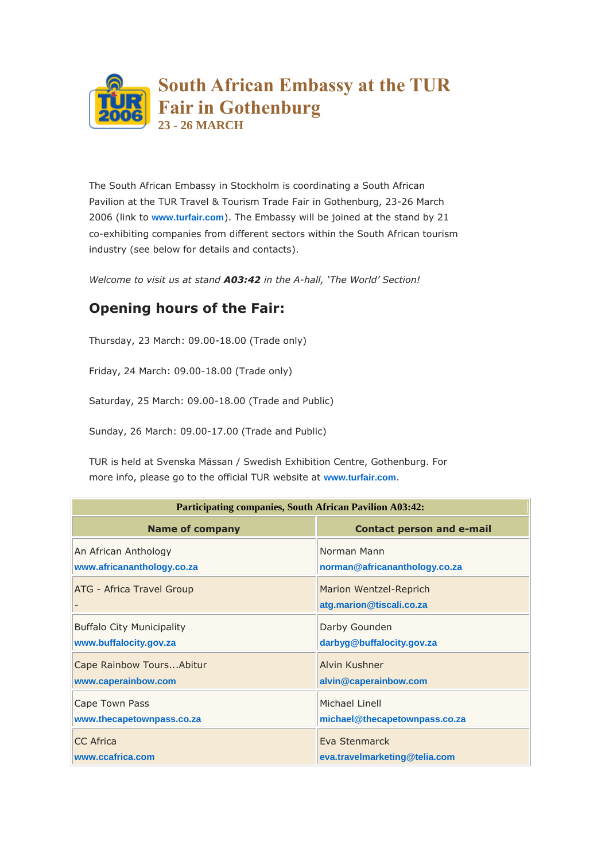

The South African Embassy in Stockholm is coordinating a South African Pavilion at the TUR Travel & Tourism Trade Fair in Gothenburg, 23-26 March 2006 (link to **[www.turfair.com](http://www.turfair.com/)**). The Embassy will be joined at the stand by 21 co-exhibiting companies from different sectors within the South African tourism industry (see below for details and contacts).

*Welcome to visit us at stand A03:42 in the A-hall, 'The World' Section!*

## **Opening hours of the Fair:**

Thursday, 23 March: 09.00-18.00 (Trade only)

Friday, 24 March: 09.00-18.00 (Trade only)

Saturday, 25 March: 09.00-18.00 (Trade and Public)

Sunday, 26 March: 09.00-17.00 (Trade and Public)

TUR is held at Svenska Mässan / Swedish Exhibition Centre, Gothenburg. For more info, please go to the official TUR website at **[www.turfair.com](http://www.turfair.com/)**.

| <b>Participating companies, South African Pavilion A03:42:</b> |                                                    |  |
|----------------------------------------------------------------|----------------------------------------------------|--|
| <b>Name of company</b>                                         | <b>Contact person and e-mail</b>                   |  |
| An African Anthology                                           | Norman Mann                                        |  |
| www.africananthology.co.za                                     | norman@africananthology.co.za                      |  |
| <b>ATG - Africa Travel Group</b>                               | Marion Wentzel-Reprich<br>atg.marion@tiscali.co.za |  |
| <b>Buffalo City Municipality</b>                               | Darby Gounden                                      |  |
| www.buffalocity.gov.za                                         | darbyg@buffalocity.gov.za                          |  |
| Cape Rainbow Tours Abitur                                      | Alvin Kushner                                      |  |
| www.caperainbow.com                                            | alvin@caperainbow.com                              |  |
| Cape Town Pass                                                 | Michael Linell                                     |  |
| www.thecapetownpass.co.za                                      | michael@thecapetownpass.co.za                      |  |
| <b>CC</b> Africa                                               | Eva Stenmarck                                      |  |
| www.ccafrica.com                                               | eva.travelmarketing@telia.com                      |  |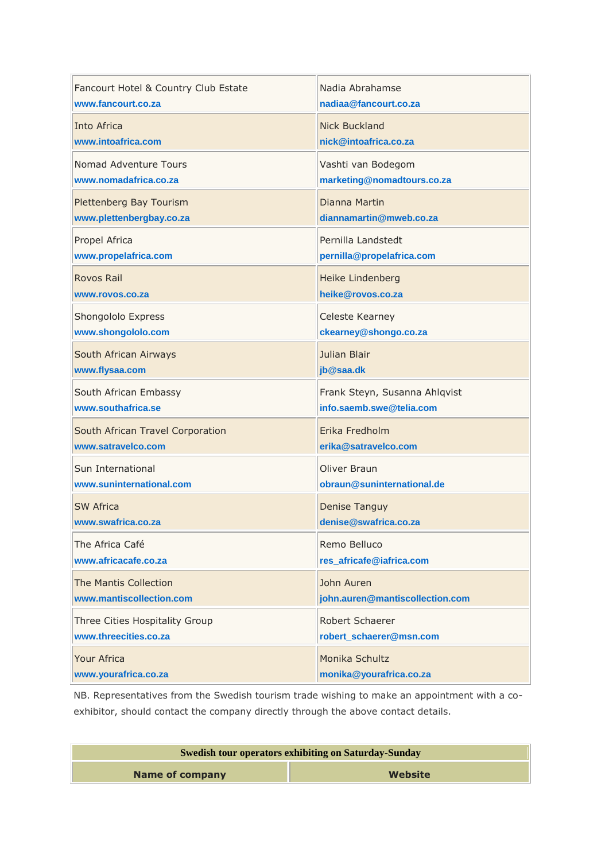| Fancourt Hotel & Country Club Estate | Nadia Abrahamse                               |
|--------------------------------------|-----------------------------------------------|
| www.fancourt.co.za                   | nadiaa@fancourt.co.za                         |
| Into Africa                          | <b>Nick Buckland</b>                          |
| www.intoafrica.com                   | nick@intoafrica.co.za                         |
| Nomad Adventure Tours                | Vashti van Bodegom                            |
| www.nomadafrica.co.za                | marketing@nomadtours.co.za                    |
| Plettenberg Bay Tourism              | Dianna Martin                                 |
| www.plettenbergbay.co.za             | diannamartin@mweb.co.za                       |
| Propel Africa                        | Pernilla Landstedt                            |
| www.propelafrica.com                 | pernilla@propelafrica.com                     |
| Rovos Rail                           | <b>Heike Lindenberg</b>                       |
| www.rovos.co.za                      | heike@rovos.co.za                             |
| Shongololo Express                   | Celeste Kearney                               |
| www.shongololo.com                   | ckearney@shongo.co.za                         |
| South African Airways                | Julian Blair                                  |
| www.flysaa.com                       | jb@saa.dk                                     |
| South African Embassy                | Frank Steyn, Susanna Ahlqvist                 |
| www.southafrica.se                   | info.saemb.swe@telia.com                      |
| South African Travel Corporation     | Erika Fredholm                                |
| www.satravelco.com                   | erika@satravelco.com                          |
| Sun International                    | Oliver Braun                                  |
| www.suninternational.com             | obraun@suninternational.de                    |
| SW Africa                            |                                               |
| www.swafrica.co.za                   | <b>Denise Tanguy</b><br>denise@swafrica.co.za |
| The Africa Café                      | Remo Belluco                                  |
| www.africacafe.co.za                 | res_africafe@iafrica.com                      |
| <b>The Mantis Collection</b>         | John Auren                                    |
| www.mantiscollection.com             | john.auren@mantiscollection.com               |
| Three Cities Hospitality Group       | Robert Schaerer                               |
| www.threecities.co.za                | robert_schaerer@msn.com                       |

NB. Representatives from the Swedish tourism trade wishing to make an appointment with a coexhibitor, should contact the company directly through the above contact details.

| <b>Swedish tour operators exhibiting on Saturday-Sunday</b> |         |
|-------------------------------------------------------------|---------|
| Name of company                                             | Website |